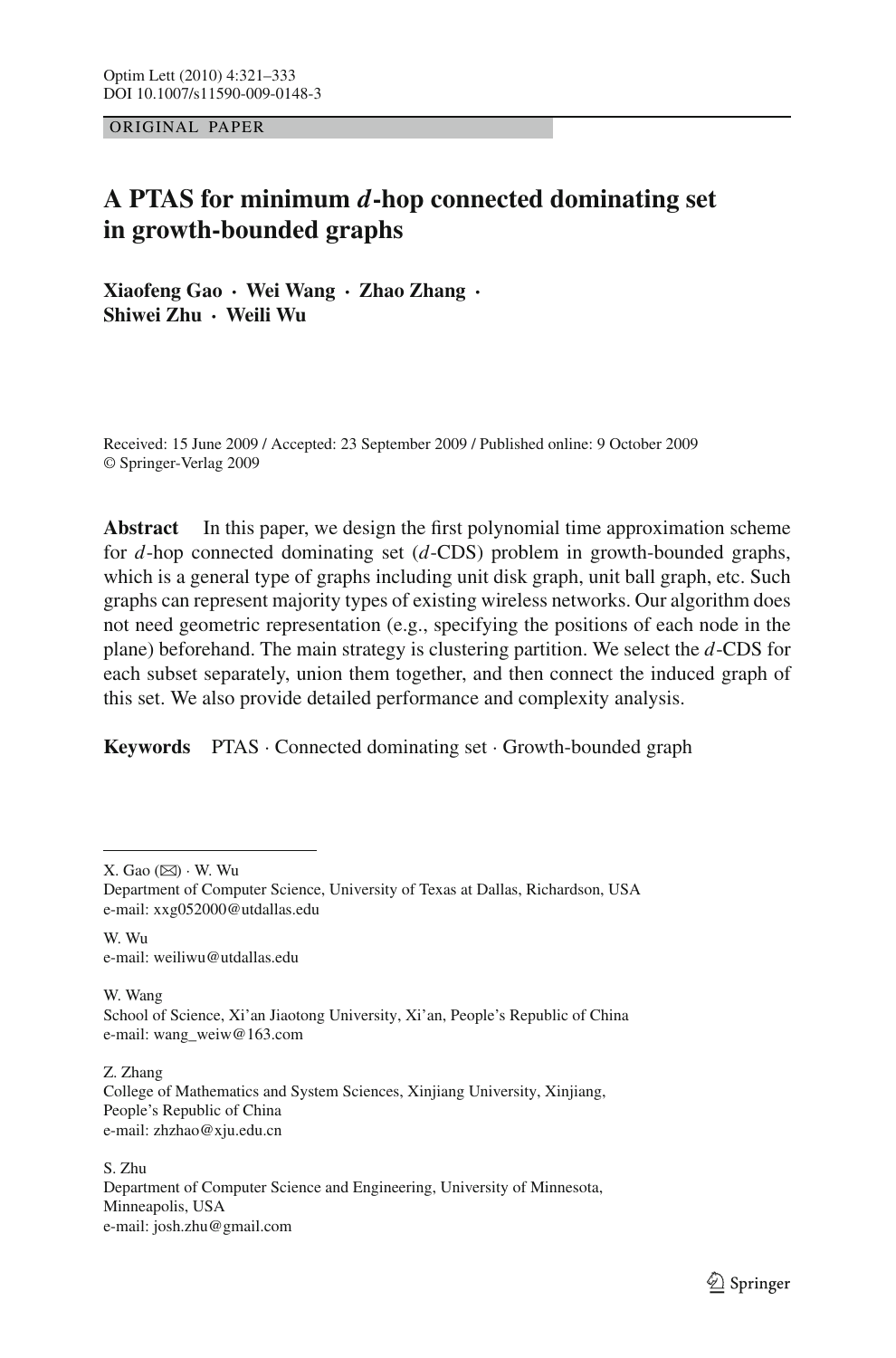ORIGINAL PAPER

# **A PTAS for minimum** *d***-hop connected dominating set in growth-bounded graphs**

**Xiaofeng Gao · Wei Wang · Zhao Zhang · Shiwei Zhu · Weili Wu**

Received: 15 June 2009 / Accepted: 23 September 2009 / Published online: 9 October 2009 © Springer-Verlag 2009

**Abstract** In this paper, we design the first polynomial time approximation scheme for *d*-hop connected dominating set (*d*-CDS) problem in growth-bounded graphs, which is a general type of graphs including unit disk graph, unit ball graph, etc. Such graphs can represent majority types of existing wireless networks. Our algorithm does not need geometric representation (e.g., specifying the positions of each node in the plane) beforehand. The main strategy is clustering partition. We select the *d*-CDS for each subset separately, union them together, and then connect the induced graph of this set. We also provide detailed performance and complexity analysis.

**Keywords** PTAS · Connected dominating set · Growth-bounded graph

W. Wu e-mail: weiliwu@utdallas.edu

W. Wang School of Science, Xi'an Jiaotong University, Xi'an, People's Republic of China e-mail: wang\_weiw@163.com

Z. Zhang College of Mathematics and System Sciences, Xinjiang University, Xinjiang, People's Republic of China e-mail: zhzhao@xju.edu.cn

S. Zhu Department of Computer Science and Engineering, University of Minnesota, Minneapolis, USA e-mail: josh.zhu@gmail.com

X. Gao  $(\boxtimes) \cdot$  W. Wu

Department of Computer Science, University of Texas at Dallas, Richardson, USA e-mail: xxg052000@utdallas.edu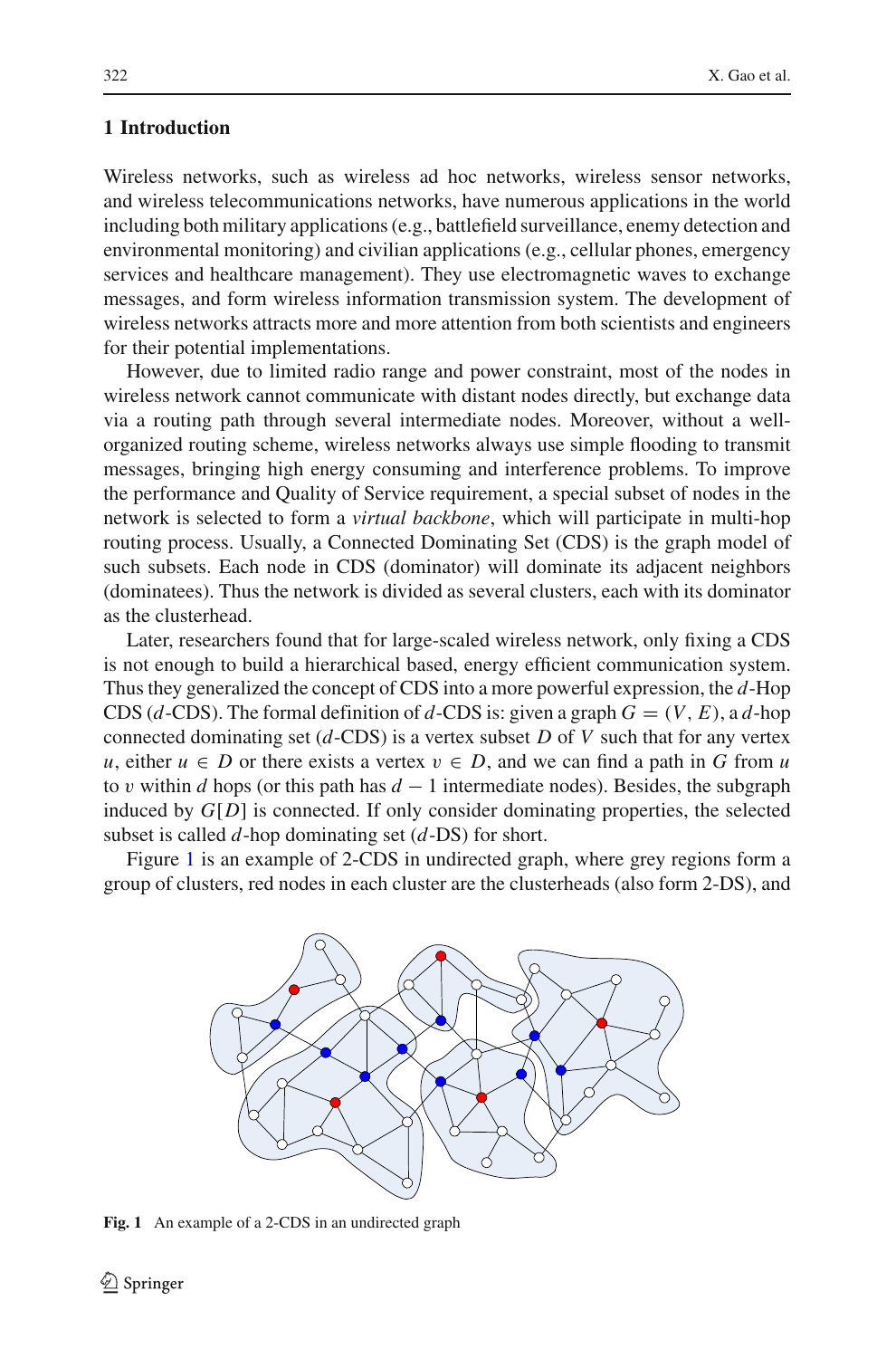# **1 Introduction**

Wireless networks, such as wireless ad hoc networks, wireless sensor networks, and wireless telecommunications networks, have numerous applications in the world including both military applications (e.g., battlefield surveillance, enemy detection and environmental monitoring) and civilian applications (e.g., cellular phones, emergency services and healthcare management). They use electromagnetic waves to exchange messages, and form wireless information transmission system. The development of wireless networks attracts more and more attention from both scientists and engineers for their potential implementations.

However, due to limited radio range and power constraint, most of the nodes in wireless network cannot communicate with distant nodes directly, but exchange data via a routing path through several intermediate nodes. Moreover, without a wellorganized routing scheme, wireless networks always use simple flooding to transmit messages, bringing high energy consuming and interference problems. To improve the performance and Quality of Service requirement, a special subset of nodes in the network is selected to form a *virtual backbone*, which will participate in multi-hop routing process. Usually, a Connected Dominating Set (CDS) is the graph model of such subsets. Each node in CDS (dominator) will dominate its adjacent neighbors (dominatees). Thus the network is divided as several clusters, each with its dominator as the clusterhead.

Later, researchers found that for large-scaled wireless network, only fixing a CDS is not enough to build a hierarchical based, energy efficient communication system. Thus they generalized the concept of CDS into a more powerful expression, the *d*-Hop CDS (*d*-CDS). The formal definition of *d*-CDS is: given a graph  $G = (V, E)$ , a *d*-hop connected dominating set (*d*-CDS) is a vertex subset *D* of *V* such that for any vertex *u*, either  $u \in D$  or there exists a vertex  $v \in D$ , and we can find a path in *G* from *u* to v within *d* hops (or this path has *d* − 1 intermediate nodes). Besides, the subgraph induced by *G*[*D*] is connected. If only consider dominating properties, the selected subset is called *d*-hop dominating set (*d*-DS) for short.

Figure [1](#page-1-0) is an example of 2-CDS in undirected graph, where grey regions form a group of clusters, red nodes in each cluster are the clusterheads (also form 2-DS), and

<span id="page-1-0"></span>

**Fig. 1** An example of a 2-CDS in an undirected graph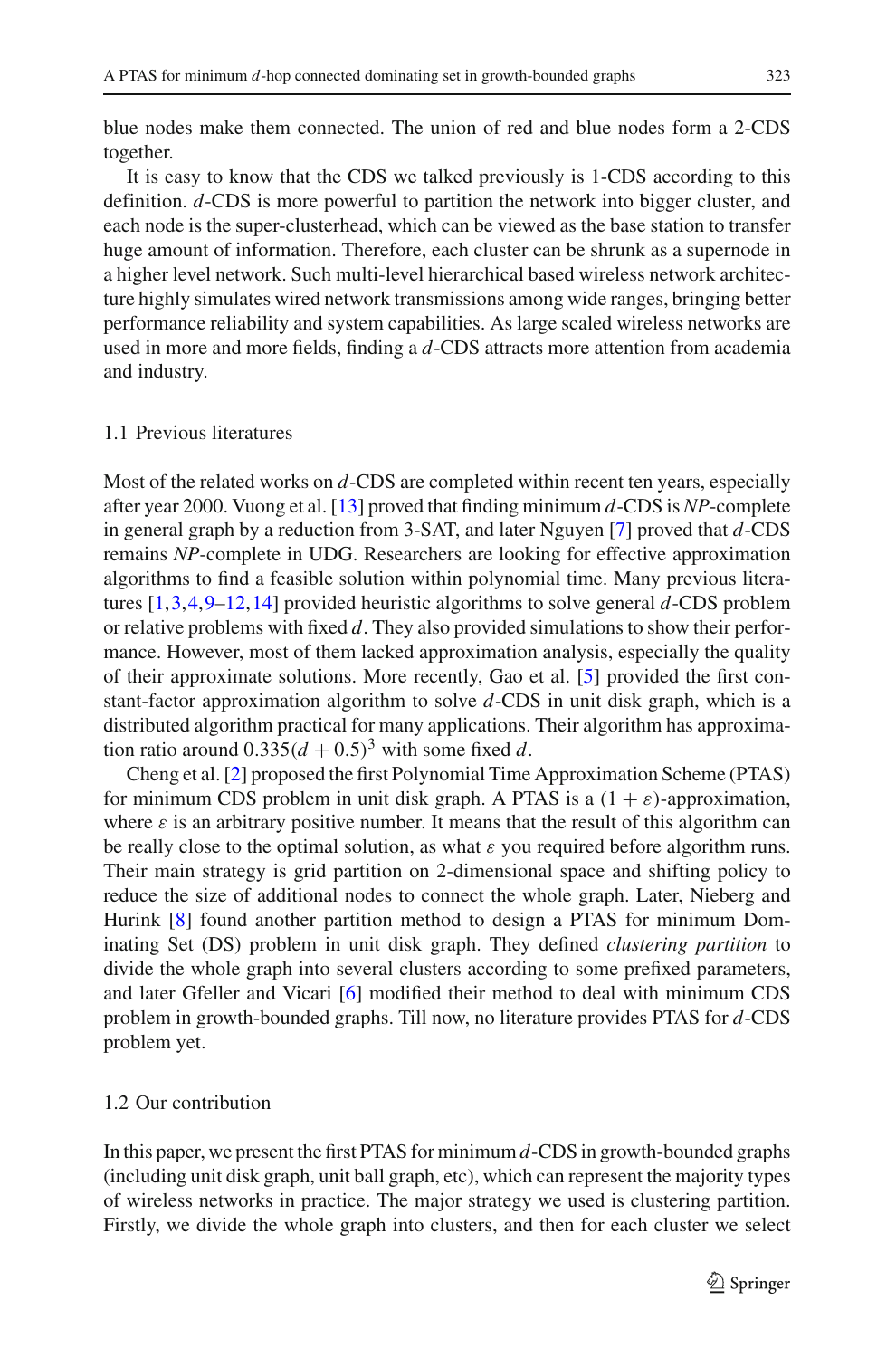blue nodes make them connected. The union of red and blue nodes form a 2-CDS together.

It is easy to know that the CDS we talked previously is 1-CDS according to this definition. *d*-CDS is more powerful to partition the network into bigger cluster, and each node is the super-clusterhead, which can be viewed as the base station to transfer huge amount of information. Therefore, each cluster can be shrunk as a supernode in a higher level network. Such multi-level hierarchical based wireless network architecture highly simulates wired network transmissions among wide ranges, bringing better performance reliability and system capabilities. As large scaled wireless networks are used in more and more fields, finding a *d*-CDS attracts more attention from academia and industry.

#### 1.1 Previous literatures

Most of the related works on *d*-CDS are completed within recent ten years, especially after year 2000. Vuong et al. [\[13\]](#page-12-0) proved that finding minimum *d*-CDS is *NP*-complete in general graph by a reduction from 3-SAT, and later Nguyen [\[7](#page-12-1)] proved that *d*-CDS remains *NP*-complete in UDG. Researchers are looking for effective approximation algorithms to find a feasible solution within polynomial time. Many previous literatures [\[1](#page-11-0)[,3](#page-11-1)[,4](#page-11-2),[9](#page-12-2)[–12](#page-12-3),[14\]](#page-12-4) provided heuristic algorithms to solve general *d*-CDS problem or relative problems with fixed *d*. They also provided simulations to show their performance. However, most of them lacked approximation analysis, especially the quality of their approximate solutions. More recently, Gao et al. [\[5](#page-11-3)] provided the first constant-factor approximation algorithm to solve *d*-CDS in unit disk graph, which is a distributed algorithm practical for many applications. Their algorithm has approximation ratio around  $0.335(d + 0.5)^3$  with some fixed *d*.

Cheng et al. [\[2](#page-11-4)] proposed the first Polynomial Time Approximation Scheme (PTAS) for minimum CDS problem in unit disk graph. A PTAS is a  $(1 + \varepsilon)$ -approximation, where  $\varepsilon$  is an arbitrary positive number. It means that the result of this algorithm can be really close to the optimal solution, as what  $\varepsilon$  you required before algorithm runs. Their main strategy is grid partition on 2-dimensional space and shifting policy to reduce the size of additional nodes to connect the whole graph. Later, Nieberg and Hurink [\[8](#page-12-5)] found another partition method to design a PTAS for minimum Dominating Set (DS) problem in unit disk graph. They defined *clustering partition* to divide the whole graph into several clusters according to some prefixed parameters, and later Gfeller and Vicari [\[6\]](#page-11-5) modified their method to deal with minimum CDS problem in growth-bounded graphs. Till now, no literature provides PTAS for *d*-CDS problem yet.

#### 1.2 Our contribution

In this paper, we present the first PTAS for minimum *d*-CDS in growth-bounded graphs (including unit disk graph, unit ball graph, etc), which can represent the majority types of wireless networks in practice. The major strategy we used is clustering partition. Firstly, we divide the whole graph into clusters, and then for each cluster we select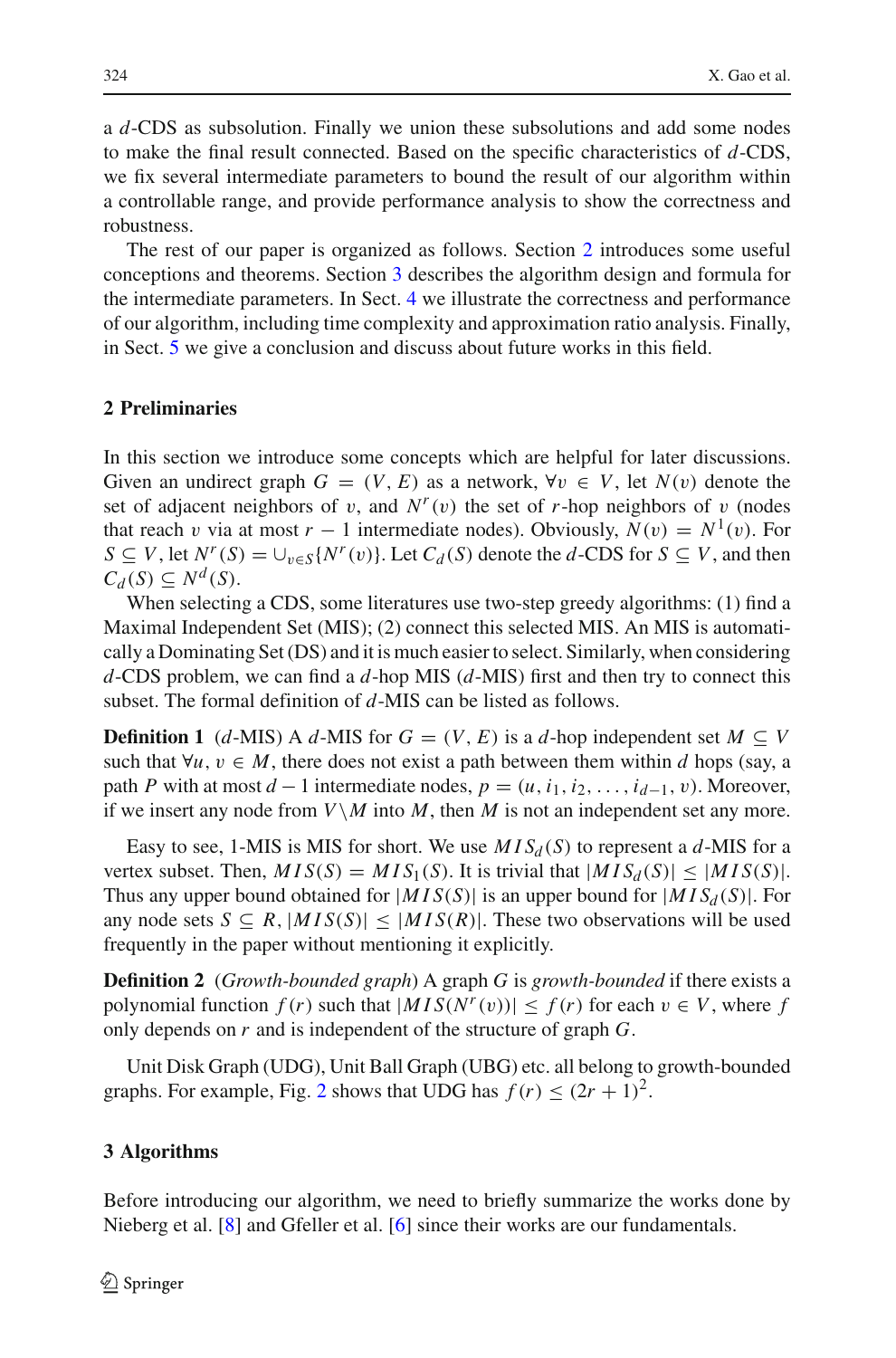a *d*-CDS as subsolution. Finally we union these subsolutions and add some nodes to make the final result connected. Based on the specific characteristics of *d*-CDS, we fix several intermediate parameters to bound the result of our algorithm within a controllable range, and provide performance analysis to show the correctness and robustness.

The rest of our paper is organized as follows. Section [2](#page-3-0) introduces some useful conceptions and theorems. Section [3](#page-3-1) describes the algorithm design and formula for the intermediate parameters. In Sect. [4](#page-6-0) we illustrate the correctness and performance of our algorithm, including time complexity and approximation ratio analysis. Finally, in Sect. [5](#page-11-6) we give a conclusion and discuss about future works in this field.

# <span id="page-3-0"></span>**2 Preliminaries**

In this section we introduce some concepts which are helpful for later discussions. Given an undirect graph  $G = (V, E)$  as a network,  $\forall v \in V$ , let  $N(v)$  denote the set of adjacent neighbors of v, and  $N^r(v)$  the set of r-hop neighbors of v (nodes that reach v via at most  $r - 1$  intermediate nodes). Obviously,  $N(v) = N^1(v)$ . For *S* ⊆ *V*, let *N<sup>r</sup>*(*S*) = ∪<sub>*v*∈*S*{*N<sup>r</sup>*(*v*)}. Let *C<sub>d</sub>*(*S*) denote the *d*-CDS for *S* ⊆ *V*, and then</sub>  $C_d(S) \subseteq N^d(S)$ .

When selecting a CDS, some literatures use two-step greedy algorithms: (1) find a Maximal Independent Set (MIS); (2) connect this selected MIS. An MIS is automatically a Dominating Set (DS) and it is much easier to select. Similarly, when considering *d*-CDS problem, we can find a *d*-hop MIS (*d*-MIS) first and then try to connect this subset. The formal definition of *d*-MIS can be listed as follows.

**Definition 1** (*d*-MIS) A *d*-MIS for  $G = (V, E)$  is a *d*-hop independent set  $M \subseteq V$ such that  $\forall u, v \in M$ , there does not exist a path between them within *d* hops (say, a path *P* with at most  $d-1$  intermediate nodes,  $p = (u, i_1, i_2, \ldots, i_{d-1}, v)$ . Moreover, if we insert any node from  $V\setminus M$  into  $M$ , then  $M$  is not an independent set any more.

Easy to see, 1-MIS is MIS for short. We use  $MIS_d(S)$  to represent a *d*-MIS for a vertex subset. Then,  $MIS(S) = MIS_1(S)$ . It is trivial that  $|MIS_d(S)| \leq |MIS(S)|$ . Thus any upper bound obtained for  $|MIS(S)|$  is an upper bound for  $|MIS_d(S)|$ . For any node sets  $S \subseteq R$ ,  $|MIS(S)| \leq |MIS(R)|$ . These two observations will be used frequently in the paper without mentioning it explicitly.

**Definition 2** (*Growth-bounded graph*) A graph *G* is *growth-bounded* if there exists a polynomial function  $f(r)$  such that  $|MIS(N^r(v))| \leq f(r)$  for each  $v \in V$ , where  $f$ only depends on *r* and is independent of the structure of graph *G*.

Unit Disk Graph (UDG), Unit Ball Graph (UBG) etc. all belong to growth-bounded graphs. For example, Fig. [2](#page-4-0) shows that UDG has  $f(r) \le (2r + 1)^2$ .

## <span id="page-3-1"></span>**3 Algorithms**

Before introducing our algorithm, we need to briefly summarize the works done by Nieberg et al. [\[8](#page-12-5)] and Gfeller et al. [\[6\]](#page-11-5) since their works are our fundamentals.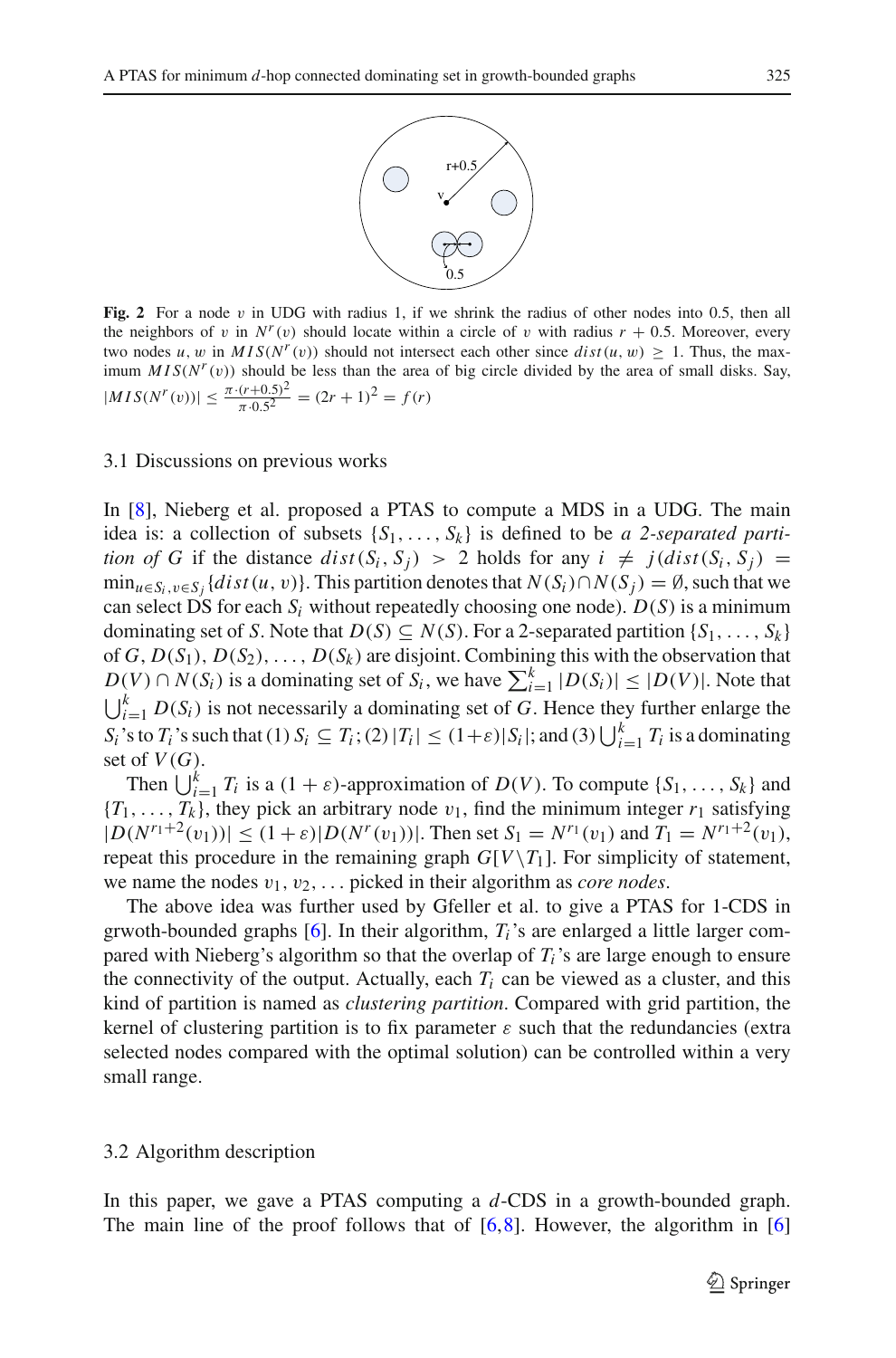

<span id="page-4-0"></span>**Fig. 2** For a node v in UDG with radius 1, if we shrink the radius of other nodes into 0.5, then all the neighbors of v in  $N^r(v)$  should locate within a circle of v with radius  $r + 0.5$ . Moreover, every two nodes *u*, w in  $MIS(N^r(v))$  should not intersect each other since  $dist(u, w) \ge 1$ . Thus, the maximum  $MIS(N^r(v))$  should be less than the area of big circle divided by the area of small disks. Say,  $|MIS(N^r(v))| \le \frac{\pi \cdot (r+0.5)^2}{\pi \cdot 0.5^2} = (2r+1)^2 = f(r)$ 

## 3.1 Discussions on previous works

In [\[8](#page-12-5)], Nieberg et al. proposed a PTAS to compute a MDS in a UDG. The main idea is: a collection of subsets  $\{S_1, \ldots, S_k\}$  is defined to be *a 2-separated partition of G* if the distance  $dist(S_i, S_j) > 2$  holds for any  $i \neq j (dist(S_i, S_j) =$  $\min_{u \in S_i, v \in S_j} \{dist(u, v)\}.$  This partition denotes that  $N(S_i) \cap N(S_j) = \emptyset$ , such that we can select DS for each  $S_i$  without repeatedly choosing one node).  $D(S)$  is a minimum dominating set of *S*. Note that  $D(S) \subseteq N(S)$ . For a 2-separated partition  $\{S_1, \ldots, S_k\}$ of  $G, D(S_1), D(S_2), \ldots, D(S_k)$  are disjoint. Combining this with the observation that *D*(*V*) ∩ *N*(*S<sub>i</sub>*) is a dominating set of *S<sub>i</sub>*, we have  $\sum_{i=1}^{k}$  |*D*(*S<sub>i</sub>*)| ≤ |*D*(*V*)|. Note that  $\bigcup_{i=1}^{k}$  *D*(*S<sub>i</sub>*) is not necessarily a dominating set of *G*. Hence they further enlarge the *S<sub>i</sub>*'s to *T<sub>i</sub>*'s such that (1)  $S_i \subseteq T_i$ ; (2)  $|T_i| \leq (1+\varepsilon)|S_i|$ ; and (3)  $\bigcup_{i=1}^k T_i$  is a dominating set of  $V(G)$ .

Then  $\bigcup_{i=1}^{k} T_i$  is a  $(1 + \varepsilon)$ -approximation of  $D(V)$ . To compute  $\{S_1, \ldots, S_k\}$  and  ${T_1, \ldots, T_k}$ , they pick an arbitrary node  $v_1$ , find the minimum integer  $r_1$  satisfying  $|D(N^{r_1+2}(v_1))| \leq (1+\varepsilon)|D(N^{r}(v_1))|$ . Then set  $S_1 = N^{r_1}(v_1)$  and  $T_1 = N^{r_1+2}(v_1)$ , repeat this procedure in the remaining graph  $G[V\setminus T_1]$ . For simplicity of statement, we name the nodes  $v_1, v_2, \ldots$  picked in their algorithm as *core nodes*.

The above idea was further used by Gfeller et al. to give a PTAS for 1-CDS in grwoth-bounded graphs [\[6](#page-11-5)]. In their algorithm, *Ti*'s are enlarged a little larger compared with Nieberg's algorithm so that the overlap of *Ti*'s are large enough to ensure the connectivity of the output. Actually, each  $T_i$  can be viewed as a cluster, and this kind of partition is named as *clustering partition*. Compared with grid partition, the kernel of clustering partition is to fix parameter  $\varepsilon$  such that the redundancies (extra selected nodes compared with the optimal solution) can be controlled within a very small range.

# 3.2 Algorithm description

In this paper, we gave a PTAS computing a *d*-CDS in a growth-bounded graph. The main line of the proof follows that of  $[6,8]$  $[6,8]$  $[6,8]$ . However, the algorithm in [\[6\]](#page-11-5)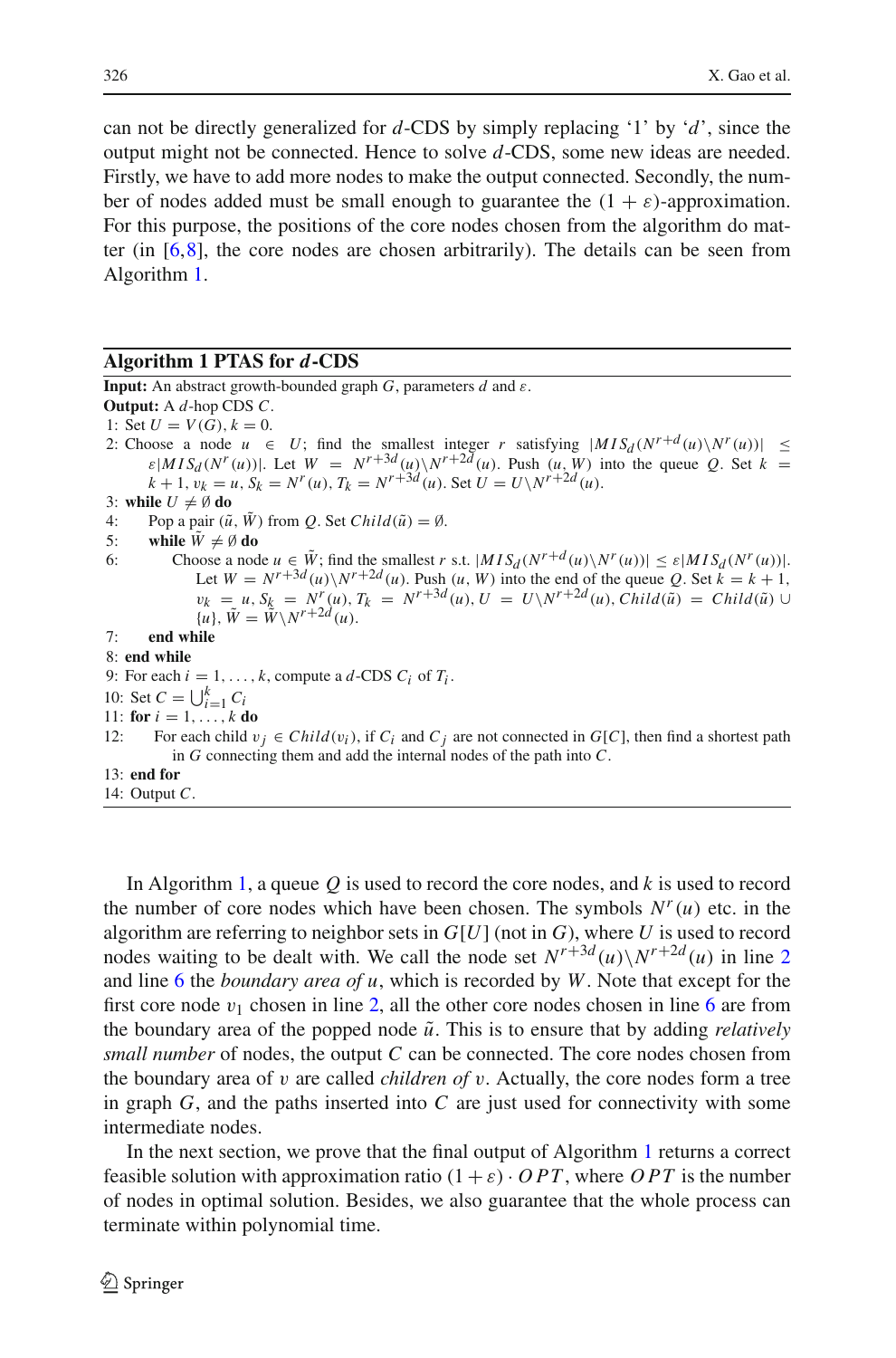can not be directly generalized for *d*-CDS by simply replacing '1' by '*d*', since the output might not be connected. Hence to solve *d*-CDS, some new ideas are needed. Firstly, we have to add more nodes to make the output connected. Secondly, the number of nodes added must be small enough to guarantee the  $(1 + \varepsilon)$ -approximation. For this purpose, the positions of the core nodes chosen from the algorithm do matter (in  $[6,8]$  $[6,8]$  $[6,8]$ , the core nodes are chosen arbitrarily). The details can be seen from Algorithm [1.](#page-5-0)

#### **Algorithm 1 PTAS for** *d***-CDS**

<span id="page-5-0"></span>**Input:** An abstract growth-bounded graph *G*, parameters *d* and ε. **Output:** A *d*-hop CDS *C*. 1: Set  $U = V(G)$ ,  $k = 0$ . 2: Choose a node  $u \in U$ ; find the smallest integer *r* satisfying  $|MIS_d(N^{r+d}(u)\setminus N^r(u))| \le$  $\varepsilon |MIS_d(N^r(u))|$ . Let  $W = N^{r+3d}(u)\sqrt{N^{r+2d}(u)}$ . Push  $(u, W)$  into the queue *Q*. Set  $k =$  $k + 1$ ,  $v_k = u$ ,  $S_k = N^r(u)$ ,  $T_k = N^{r+3d}(u)$ . Set  $U = U\backslash N^{r+2d}(u)$ . 3: while  $U \neq \emptyset$  do 4: Pop a pair  $(\tilde{u}, \tilde{W})$  from *Q*. Set *Child* $(\tilde{u}) = \emptyset$ . 5: **while**  $\hat{W} \neq \emptyset$  do 6: Choose a node  $u \in \tilde{W}$ ; find the smallest *r* s.t.  $|MIS_d(N^{r+d}(u)\setminus N^{r}(u))| \leq \varepsilon |MIS_d(N^{r}(u))|$ . Let  $W = N^{r+3d}(u) \setminus N^{r+2d}(u)$ . Push  $(u, W)$  into the end of the queue *Q*. Set  $k = k + 1$ ,  $v_k = u, S_k = N^r(u), T_k = N^{r+3d}(u), U = U\backslash N^{r+2d}(u),$  *Child* $(\tilde{u}) =$  *Child* $(\tilde{u}) \cup$  ${u}$ ,  $\tilde{W} = \tilde{W} \backslash N^{r+2d}$  (*u*). 7: **end while** 8: **end while** 9: For each  $i = 1, \ldots, k$ , compute a *d*-CDS  $C_i$  of  $T_i$ . 10: Set  $C = \bigcup_{i=1}^{k} C_i$ 11: **for**  $i = 1, ..., k$  **do** 12: For each child  $v_i \in Child(v_i)$ , if  $C_i$  and  $C_j$  are not connected in  $G[C]$ , then find a shortest path in *G* connecting them and add the internal nodes of the path into *C*. 13: **end for** 14: Output *C*.

In Algorithm [1,](#page-5-0) a queue *Q* is used to record the core nodes, and *k* is used to record the number of core nodes which have been chosen. The symbols  $N<sup>r</sup>(u)$  etc. in the algorithm are referring to neighbor sets in *G*[*U*] (not in *G*), where *U* is used to record nodes waiting to be dealt with. We call the node set  $N^{r+3d}(u)\setminus N^{r+2d}(u)$  $N^{r+3d}(u)\setminus N^{r+2d}(u)$  $N^{r+3d}(u)\setminus N^{r+2d}(u)$  in line 2 and line [6](#page-5-0) the *boundary area of u*, which is recorded by *W*. Note that except for the first core node  $v_1$  chosen in line [2,](#page-5-0) all the other core nodes chosen in line [6](#page-5-0) are from the boundary area of the popped node  $\tilde{u}$ . This is to ensure that by adding *relatively small number* of nodes, the output *C* can be connected. The core nodes chosen from the boundary area of v are called *children of* v. Actually, the core nodes form a tree in graph  $G$ , and the paths inserted into  $C$  are just used for connectivity with some intermediate nodes.

In the next section, we prove that the final output of Algorithm [1](#page-5-0) returns a correct feasible solution with approximation ratio  $(1 + \varepsilon) \cdot OPT$ , where *OPT* is the number of nodes in optimal solution. Besides, we also guarantee that the whole process can terminate within polynomial time.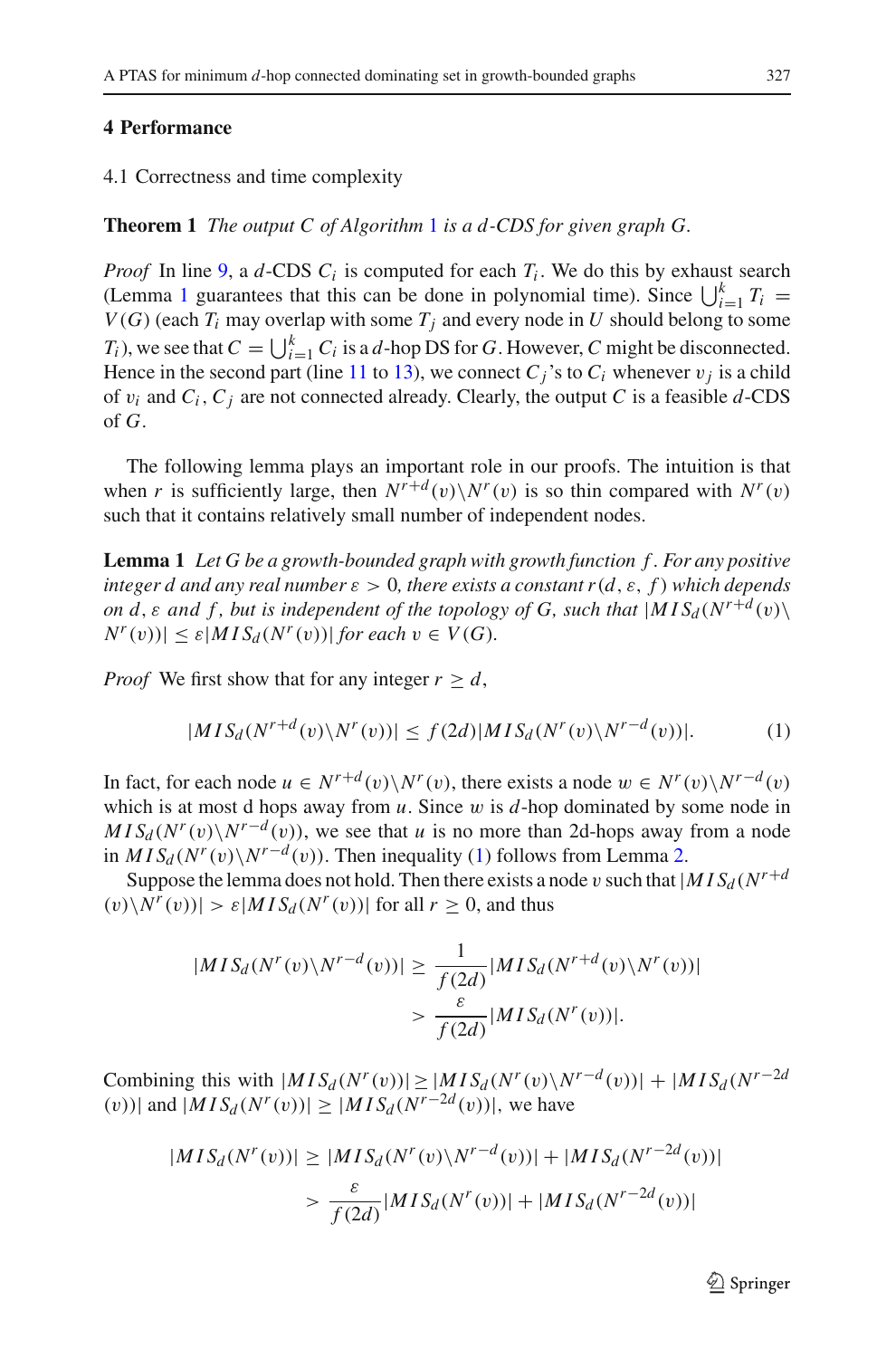## <span id="page-6-0"></span>**4 Performance**

## 4.1 Correctness and time complexity

**Theorem 1** *The output C of Algorithm* [1](#page-5-0) *is a d-CDS for given graph G.*

*Proof* In line [9,](#page-5-0) a *d*-CDS  $C_i$  is computed for each  $T_i$ . We do this by exhaust search (Lemma [1](#page-6-1) guarantees that this can be done in polynomial time). Since  $\bigcup_{i=1}^{k} T_i =$  $V(G)$  (each  $T_i$  may overlap with some  $T_j$  and every node in *U* should belong to some *T<sub>i</sub>*), we see that  $C = \bigcup_{i=1}^{k} C_i$  is a *d*-hop DS for *G*. However, *C* might be disconnected. Hence in the second part (line [11](#page-5-0) to [13\)](#page-5-0), we connect  $C_j$ 's to  $C_i$  whenever  $v_j$  is a child of  $v_i$  and  $C_i$ ,  $C_j$  are not connected already. Clearly, the output *C* is a feasible *d*-CDS of *G*.

The following lemma plays an important role in our proofs. The intuition is that when *r* is sufficiently large, then  $N^{r+d}(v) \setminus N^r(v)$  is so thin compared with  $N^r(v)$ such that it contains relatively small number of independent nodes.

<span id="page-6-1"></span>**Lemma 1** *Let G be a growth-bounded graph with growth function f . For any positive integer d and any real number*  $\varepsilon > 0$ , there exists a constant  $r(d, \varepsilon, f)$  which depends *on d, ε and f, but is independent of the topology of G, such that*  $|MIS_d(N^{r+d}(v))|$  $|N^r(v)| \leq \varepsilon |MIS_d(N^r(v))|$  *for each*  $v \in V(G)$ *.* 

<span id="page-6-2"></span>*Proof* We first show that for any integer  $r \geq d$ ,

$$
|MIS_d(N^{r+d}(v)\backslash N^r(v))| \le f(2d)|MIS_d(N^r(v)\backslash N^{r-d}(v))|.
$$
 (1)

In fact, for each node  $u \in N^{r+d}(v) \setminus N^r(v)$ , there exists a node  $w \in N^r(v) \setminus N^{r-d}(v)$ which is at most d hops away from  $u$ . Since  $w$  is  $d$ -hop dominated by some node in  $MIS_d(N^r(v)\ N^{r-d}(v))$ , we see that *u* is no more than 2d-hops away from a node in  $MIS_d(N^r(v)\ N^{r-d}(v))$ . Then inequality [\(1\)](#page-6-2) follows from Lemma [2.](#page-7-0)

Suppose the lemma does not hold. Then there exists a node v such that  $|MIS_d(N^{r+d})|$  $(v) \setminus N^r(v))| > \varepsilon |MIS_d(N^r(v))|$  for all  $r \ge 0$ , and thus

$$
|MIS_d(N^r(v)\backslash N^{r-d}(v))| \ge \frac{1}{f(2d)}|MIS_d(N^{r+d}(v)\backslash N^r(v))|
$$
  
> 
$$
\frac{\varepsilon}{f(2d)}|MIS_d(N^r(v))|.
$$

<span id="page-6-3"></span>Combining this with  $|MIS_d(N^r(v))| \geq |MIS_d(N^r(v)\setminus N^{r-d}(v))| + |MIS_d(N^{r-2d})|$ (*v*))| and  $|MIS_d(N^r(v))|$  ≥  $|MIS_d(N^{r-2d}(v))|$ , we have

$$
|MIS_d(N^r(v))| \ge |MIS_d(N^r(v)\backslash N^{r-d}(v))| + |MIS_d(N^{r-2d}(v))|
$$
  

$$
> \frac{\varepsilon}{f(2d)} |MIS_d(N^r(v))| + |MIS_d(N^{r-2d}(v))|
$$

 $\mathcal{D}$  Springer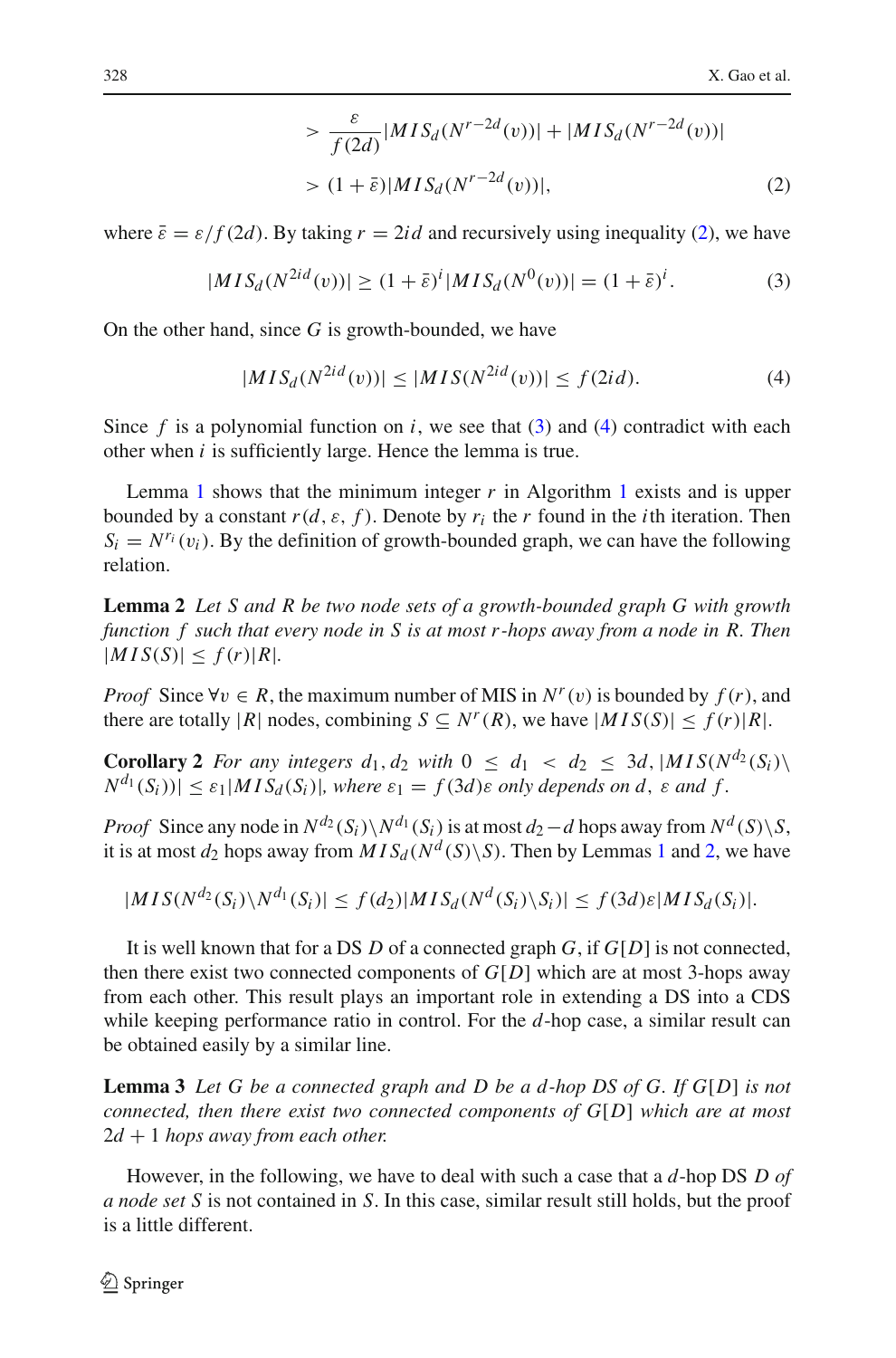$$
> \frac{\varepsilon}{f(2d)} |MIS_d(N^{r-2d}(v))| + |MIS_d(N^{r-2d}(v))|
$$
  
> 
$$
(1 + \bar{\varepsilon}) |MIS_d(N^{r-2d}(v))|,
$$
 (2)

<span id="page-7-1"></span>where  $\bar{\varepsilon} = \varepsilon / f(2d)$ . By taking  $r = 2id$  and recursively using inequality [\(2\)](#page-6-3), we have

$$
|MIS_d(N^{2id}(v))| \ge (1+\bar{\varepsilon})^i |MIS_d(N^0(v))| = (1+\bar{\varepsilon})^i.
$$
 (3)

<span id="page-7-2"></span>On the other hand, since *G* is growth-bounded, we have

$$
|MIS_{d}(N^{2id}(v))| \le |MIS(N^{2id}(v))| \le f(2id). \tag{4}
$$

Since  $f$  is a polynomial function on  $i$ , we see that  $(3)$  and  $(4)$  contradict with each other when *i* is sufficiently large. Hence the lemma is true.

Lemma [1](#page-5-0) shows that the minimum integer  $r$  in Algorithm 1 exists and is upper bounded by a constant  $r(d, \varepsilon, f)$ . Denote by  $r_i$  the r found in the *i*th iteration. Then  $S_i = N^{r_i}(v_i)$ . By the definition of growth-bounded graph, we can have the following relation.

<span id="page-7-0"></span>**Lemma 2** *Let S and R be two node sets of a growth-bounded graph G with growth function f such that every node in S is at most r-hops away from a node in R. Then*  $|MIS(S)| \leq f(r)|R|$ .

*Proof* Since  $\forall v \in R$ , the maximum number of MIS in  $N^r(v)$  is bounded by  $f(r)$ , and there are totally |*R*| nodes, combining  $S \subseteq N^r(R)$ , we have  $|MIS(S)| \le f(r)|R|$ .

<span id="page-7-4"></span>**Corollary 2** *For any integers*  $d_1, d_2$  *with*  $0 \leq d_1 < d_2 \leq 3d$ ,  $|MIS(N^{d_2}(S_i))|$  $N^{d_1}(S_i)) \leq \varepsilon_1 |MIS_d(S_i)|$ , where  $\varepsilon_1 = f(3d)\varepsilon$  *only depends on d,*  $\varepsilon$  *and f.* 

*Proof* Since any node in  $N^{d_2}(S_i)\backslash N^{d_1}(S_i)$  is at most  $d_2-d$  hops away from  $N^d(S)\backslash S$ , it is at most  $d_2$  hops away from  $MIS_d(N^d(S)\backslash S)$ . Then by Lemmas [1](#page-6-1) and [2,](#page-7-0) we have

$$
|MIS(N^{d_2}(S_i)\backslash N^{d_1}(S_i)| \le f(d_2)|MIS_d(N^d(S_i)\backslash S_i)| \le f(3d)\varepsilon |MIS_d(S_i)|.
$$

It is well known that for a DS *D* of a connected graph *G*, if *G*[*D*] is not connected, then there exist two connected components of  $G[D]$  which are at most 3-hops away from each other. This result plays an important role in extending a DS into a CDS while keeping performance ratio in control. For the *d*-hop case, a similar result can be obtained easily by a similar line.

<span id="page-7-5"></span>**Lemma 3** *Let G be a connected graph and D be a d-hop DS of G. If G*[*D*] *is not connected, then there exist two connected components of G*[*D*] *which are at most*  $2d + 1$  *hops away from each other.* 

<span id="page-7-3"></span>However, in the following, we have to deal with such a case that a *d*-hop DS *D of a node set S* is not contained in *S*. In this case, similar result still holds, but the proof is a little different.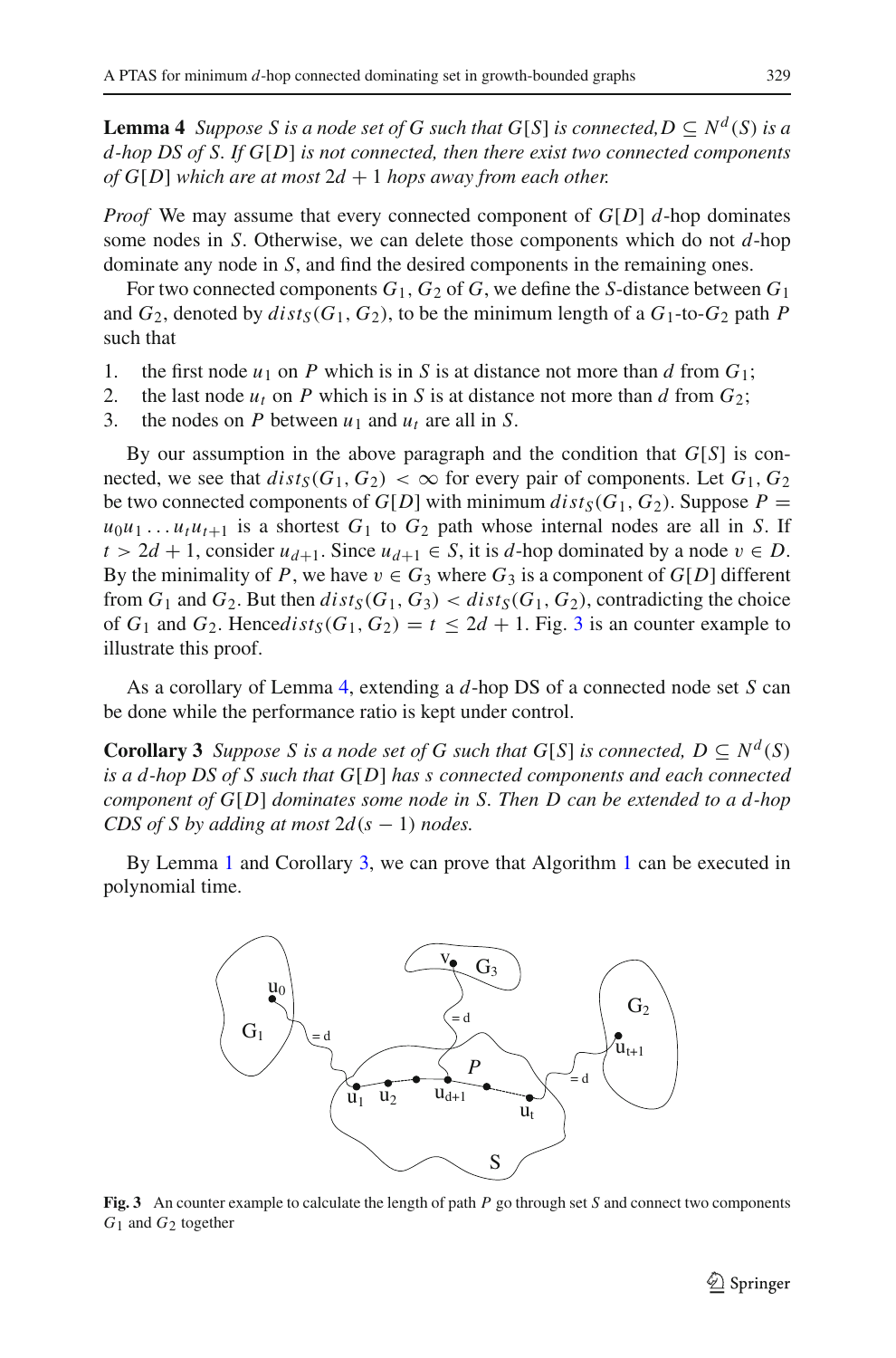**Lemma 4** *Suppose S is a node set of G such that G*[*S*] *is connected,*  $D \subseteq N^d(S)$  *is a d-hop DS of S. If G*[*D*] *is not connected, then there exist two connected components of G*[*D*] which are at most  $2d + 1$  hops away from each other.

*Proof* We may assume that every connected component of *G*[*D*] *d*-hop dominates some nodes in *S*. Otherwise, we can delete those components which do not *d*-hop dominate any node in *S*, and find the desired components in the remaining ones.

For two connected components  $G_1$ ,  $G_2$  of  $G$ , we define the *S*-distance between  $G_1$ and  $G_2$ , denoted by  $dist_S(G_1, G_2)$ , to be the minimum length of a  $G_1$ -to- $G_2$  path P such that

- 1. the first node  $u_1$  on *P* which is in *S* is at distance not more than *d* from  $G_1$ ;
- 2. the last node  $u_t$  on *P* which is in *S* is at distance not more than *d* from  $G_2$ ;
- 3. the nodes on *P* between  $u_1$  and  $u_t$  are all in *S*.

By our assumption in the above paragraph and the condition that *G*[*S*] is connected, we see that  $dist_S(G_1, G_2) < \infty$  for every pair of components. Let  $G_1, G_2$ be two connected components of  $G[D]$  with minimum  $dist_S(G_1, G_2)$ . Suppose  $P =$  $u_0u_1 \ldots u_t u_{t+1}$  is a shortest  $G_1$  to  $G_2$  path whose internal nodes are all in *S*. If  $t > 2d + 1$ , consider  $u_{d+1}$ . Since  $u_{d+1} \in S$ , it is *d*-hop dominated by a node  $v \in D$ . By the minimality of *P*, we have  $v \in G_3$  where  $G_3$  is a component of  $G[D]$  different from  $G_1$  and  $G_2$ . But then  $dist_S(G_1, G_3) < dist_S(G_1, G_2)$ , contradicting the choice of  $G_1$  and  $G_2$ . Hence $dist_S(G_1, G_2) = t \leq 2d + 1$ . Fig. [3](#page-8-0) is an counter example to illustrate this proof.

<span id="page-8-1"></span>As a corollary of Lemma [4,](#page-7-3) extending a *d*-hop DS of a connected node set *S* can be done while the performance ratio is kept under control.

**Corollary 3** *Suppose S is a node set of G such that G[S] is connected,*  $D \subseteq N^d(S)$ *is a d-hop DS of S such that G*[*D*] *has s connected components and each connected component of G*[*D*] *dominates some node in S. Then D can be extended to a d-hop CDS of S by adding at most*  $2d(s - 1)$  *nodes.* 

By Lemma [1](#page-6-1) and Corollary [3,](#page-8-1) we can prove that Algorithm [1](#page-5-0) can be executed in polynomial time.



<span id="page-8-0"></span>**Fig. 3** An counter example to calculate the length of path *P* go through set *S* and connect two components *G*1 and *G*2 together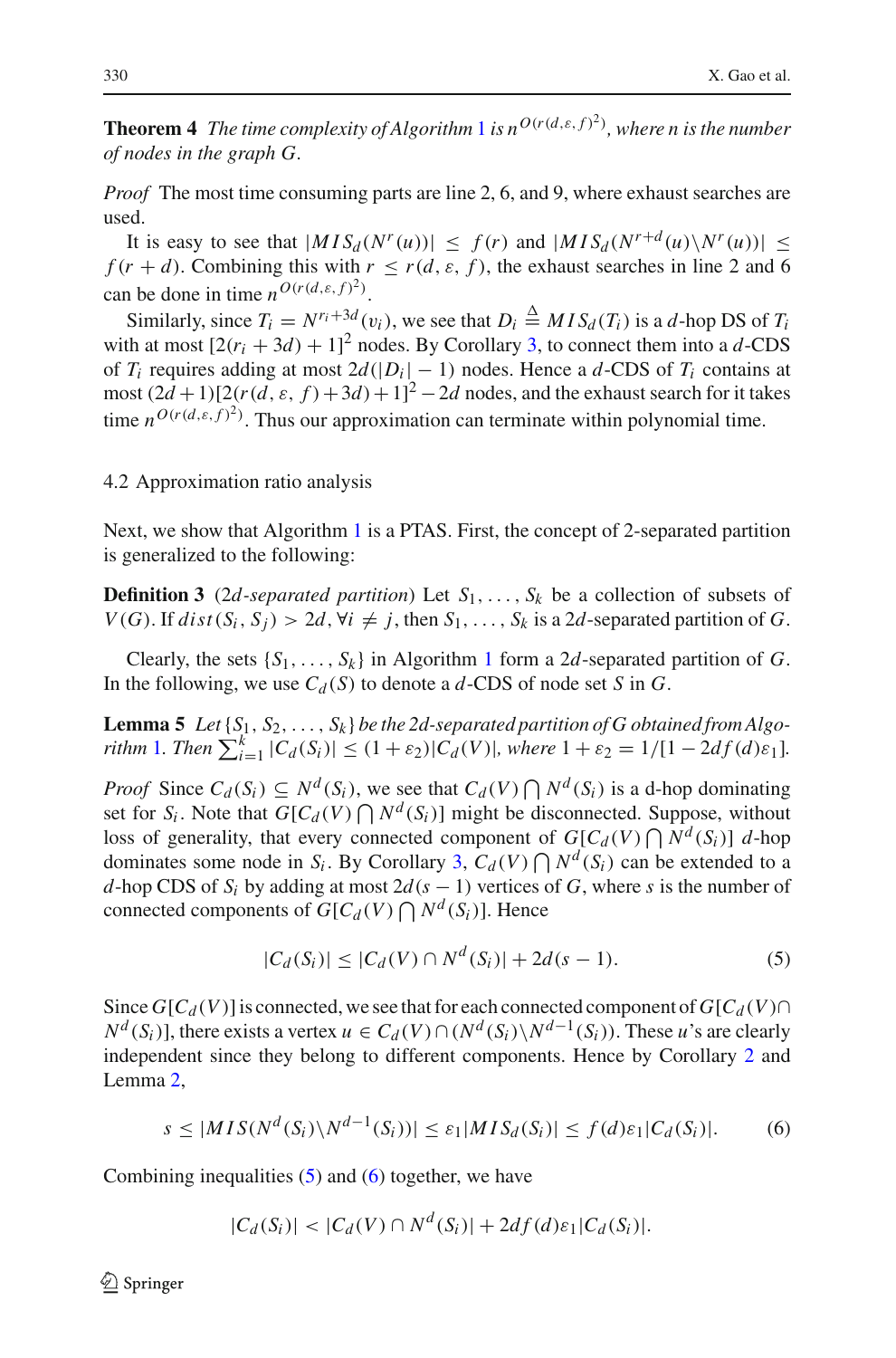**Theorem 4** *The time complexity of Algorithm* [1](#page-5-0) *is nO*(*r*(*d*,ε, *<sup>f</sup>* )2) *, where n is the number of nodes in the graph G.*

*Proof* The most time consuming parts are line 2, 6, and 9, where exhaust searches are used.

It is easy to see that  $|MIS_d(N^r(u))| \leq f(r)$  and  $|MIS_d(N^{r+d}(u)\setminus N^r(u))| \leq$  $f(r + d)$ . Combining this with  $r \le r(d, \varepsilon, f)$ , the exhaust searches in line 2 and 6 can be done in time  $n^{O(r(d,\varepsilon, f)^2)}$ .

Similarly, since  $T_i = N^{r_i + 3d}(v_i)$ , we see that  $D_i \triangleq MIS_d(T_i)$  is a *d*-hop DS of  $T_i$ with at most  $[2(r_i + 3d) + 1]^2$  nodes. By Corollary [3,](#page-8-1) to connect them into a *d*-CDS of  $T_i$  requires adding at most  $2d(|D_i| - 1)$  nodes. Hence a *d*-CDS of  $T_i$  contains at most  $(2d+1)[2(r(d, \varepsilon, f)+3d)+1]^2-2d$  nodes, and the exhaust search for it takes time  $n^{O(r(d,\varepsilon,f)^2)}$ . Thus our approximation can terminate within polynomial time.

## 4.2 Approximation ratio analysis

Next, we show that Algorithm [1](#page-5-0) is a PTAS. First, the concept of 2-separated partition is generalized to the following:

**Definition 3** (2*d-separated partition*) Let  $S_1, \ldots, S_k$  be a collection of subsets of *V*(*G*). If *dist*(*S<sub>i</sub>*, *S<sub>i</sub>*) > 2*d*, ∀*i*  $\neq j$ , then *S*<sub>1</sub>, . . . , *S*<sub>*k*</sub> is a 2*d*-separated partition of *G*.

<span id="page-9-2"></span>Clearly, the sets  $\{S_1, \ldots, S_k\}$  $\{S_1, \ldots, S_k\}$  $\{S_1, \ldots, S_k\}$  in Algorithm 1 form a 2*d*-separated partition of *G*. In the following, we use  $C_d(S)$  to denote a *d*-CDS of node set *S* in *G*.

**Lemma 5** *Let*  $\{S_1, S_2, \ldots, S_k\}$  *be the 2d-separated partition of G obtained from Algo-* $\int f$  *rithm* [1](#page-5-0)*.* Then  $\sum_{i=1}^{k} |C_d(S_i)| \leq (1 + \varepsilon_2)|C_d(V)|$ , where  $1 + \varepsilon_2 = 1/[1 - 2df(d)\varepsilon_1]$ .

*Proof* Since  $C_d(S_i) \subseteq N^d(S_i)$ , we see that  $C_d(V) \cap N^d(S_i)$  is a d-hop dominating set for  $S_i$ . Note that  $G[C_d(V) \bigcap N^d(S_i)]$  might be disconnected. Suppose, without loss of generality, that every connected component of  $G[C_d(V) \bigcap N^d(S_i)]$  *d*-hop dominates some node in  $S_i$ . By Corollary [3,](#page-8-1)  $C_d(V) \bigcap N^d(S_i)$  can be extended to a *d*-hop CDS of  $S_i$  by adding at most  $2d(s - 1)$  vertices of *G*, where *s* is the number of connected components of  $G[C_d(V) \bigcap N^d(S_i)]$ . Hence

$$
|C_d(S_i)| \le |C_d(V) \cap N^d(S_i)| + 2d(s - 1). \tag{5}
$$

<span id="page-9-0"></span>Since  $G[C_d(V)]$  is connected, we see that for each connected component of  $G[C_d(V) \cap$ *N<sup>d</sup>* (*S<sub>i</sub>*)], there exists a vertex *u* ∈  $C_d(V) ∩ (N^d(S_i) \ N^{d-1}(S_i))$ . These *u*'s are clearly independent since they belong to different components. Hence by Corollary [2](#page-7-4) and Lemma [2,](#page-7-0)

$$
s \le |MIS(N^d(S_i)\backslash N^{d-1}(S_i))| \le \varepsilon_1 |MIS_d(S_i)| \le f(d)\varepsilon_1 |C_d(S_i)|. \tag{6}
$$

<span id="page-9-1"></span>Combining inequalities  $(5)$  and  $(6)$  together, we have

$$
|C_d(S_i)| < |C_d(V) \cap N^d(S_i)| + 2df(d)\varepsilon_1|C_d(S_i)|.
$$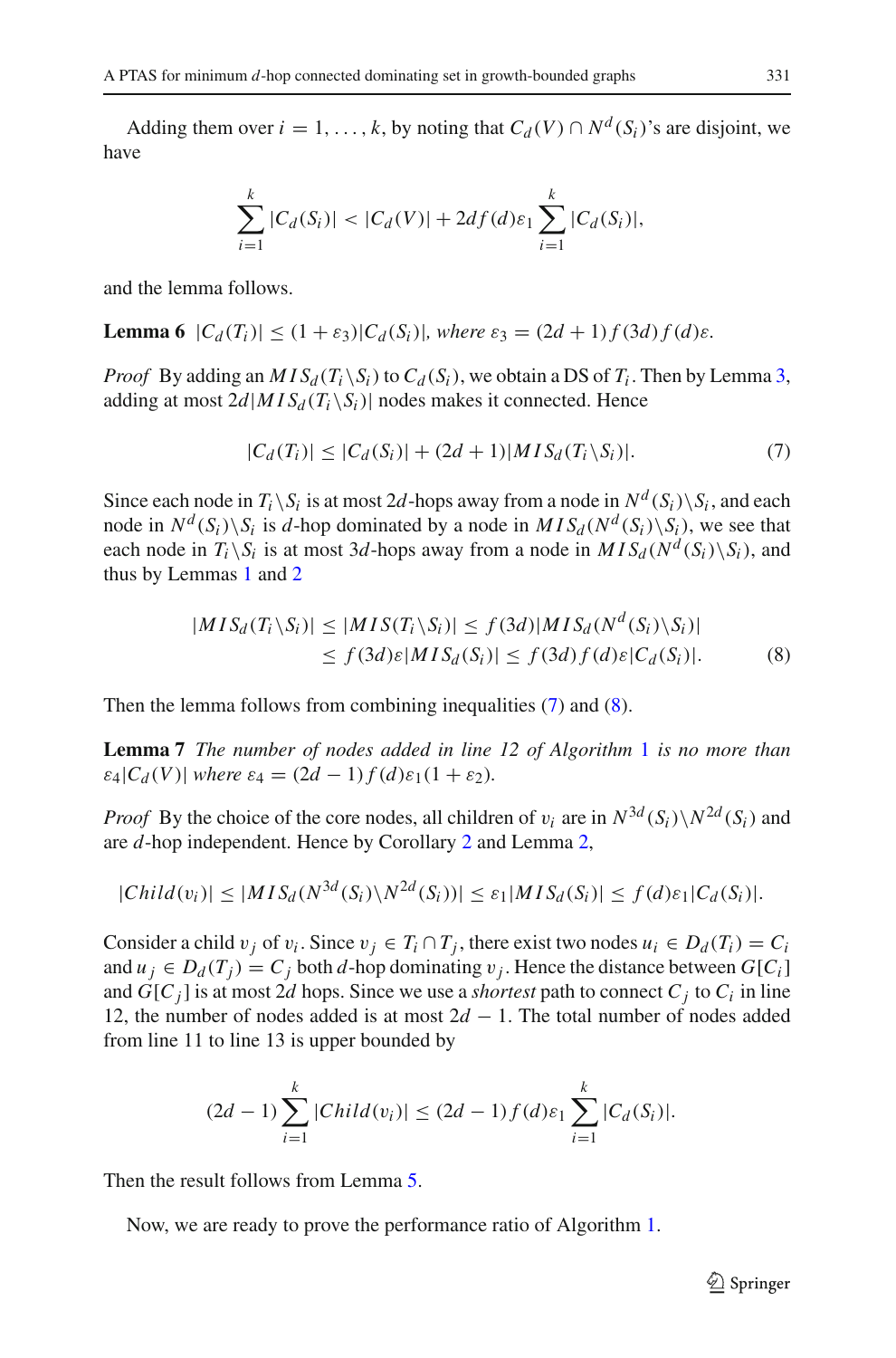Adding them over  $i = 1, \ldots, k$ , by noting that  $C_d(V) \cap N^d(S_i)$ 's are disjoint, we have

$$
\sum_{i=1}^{k} |C_d(S_i)| < |C_d(V)| + 2df(d)\varepsilon_1 \sum_{i=1}^{k} |C_d(S_i)|,
$$

<span id="page-10-2"></span>and the lemma follows.

**Lemma 6**  $|C_d(T_i)| \leq (1 + \varepsilon_3)|C_d(S_i)|$ , where  $\varepsilon_3 = (2d + 1)f(3d)f(d)\varepsilon$ .

*Proof* By adding an  $MIS_d(T_i \backslash S_i)$  to  $C_d(S_i)$ , we obtain a DS of  $T_i$ . Then by Lemma [3,](#page-7-5) adding at most  $2d|MIS_d(T_i \setminus S_i)|$  nodes makes it connected. Hence

$$
|C_d(T_i)| \leq |C_d(S_i)| + (2d+1)|MIS_d(T_i \backslash S_i)|. \tag{7}
$$

<span id="page-10-0"></span>Since each node in  $T_i \backslash S_i$  is at most 2*d*-hops away from a node in  $N^d(S_i) \backslash S_i$ , and each node in  $N^d(S_i) \setminus S_i$  is *d*-hop dominated by a node in  $MIS_d(N^d(S_i) \setminus S_i)$ , we see that each node in  $T_i \backslash S_i$  is at most 3*d*-hops away from a node in  $MIS_d(N^d(S_i) \backslash S_i)$ , and thus by Lemmas [1](#page-6-1) and [2](#page-7-0)

$$
|MIS_d(T_i \setminus S_i)| \le |MIS(T_i \setminus S_i)| \le f(3d)|MIS_d(N^d(S_i) \setminus S_i)|
$$
  
\n
$$
\le f(3d)\varepsilon |MIS_d(S_i)| \le f(3d)f(d)\varepsilon |C_d(S_i)|. \tag{8}
$$

<span id="page-10-3"></span><span id="page-10-1"></span>Then the lemma follows from combining inequalities [\(7\)](#page-10-0) and [\(8\)](#page-10-1).

**Lemma 7** *The number of nodes added in line 12 of Algorithm* [1](#page-5-0) *is no more than*  $\varepsilon_4|C_d(V)|$  where  $\varepsilon_4 = (2d-1)f(d)\varepsilon_1(1+\varepsilon_2)$ .

*Proof* By the choice of the core nodes, all children of  $v_i$  are in  $N^{3d}(S_i) \setminus N^{2d}(S_i)$  and are *d*-hop independent. Hence by Corollary [2](#page-7-4) and Lemma [2,](#page-7-0)

$$
|Child(v_i)| \leq |MIS_d(N^{3d}(S_i)\setminus N^{2d}(S_i))| \leq \varepsilon_1 |MIS_d(S_i)| \leq f(d)\varepsilon_1 |C_d(S_i)|.
$$

Consider a child  $v_i$  of  $v_i$ . Since  $v_j \in T_i \cap T_j$ , there exist two nodes  $u_i \in D_d(T_i) = C_i$ and  $u_i \in D_d(T_i) = C_i$  both *d*-hop dominating  $v_i$ . Hence the distance between  $G[C_i]$ and  $G[C_j]$  is at most 2*d* hops. Since we use a *shortest* path to connect  $C_j$  to  $C_i$  in line 12, the number of nodes added is at most 2*d* − 1. The total number of nodes added from line 11 to line 13 is upper bounded by

$$
(2d-1)\sum_{i=1}^{k} |Child(v_i)| \le (2d-1)f(d)\varepsilon_1 \sum_{i=1}^{k} |C_d(S_i)|.
$$

Then the result follows from Lemma [5.](#page-9-2)

Now, we are ready to prove the performance ratio of Algorithm [1.](#page-5-0)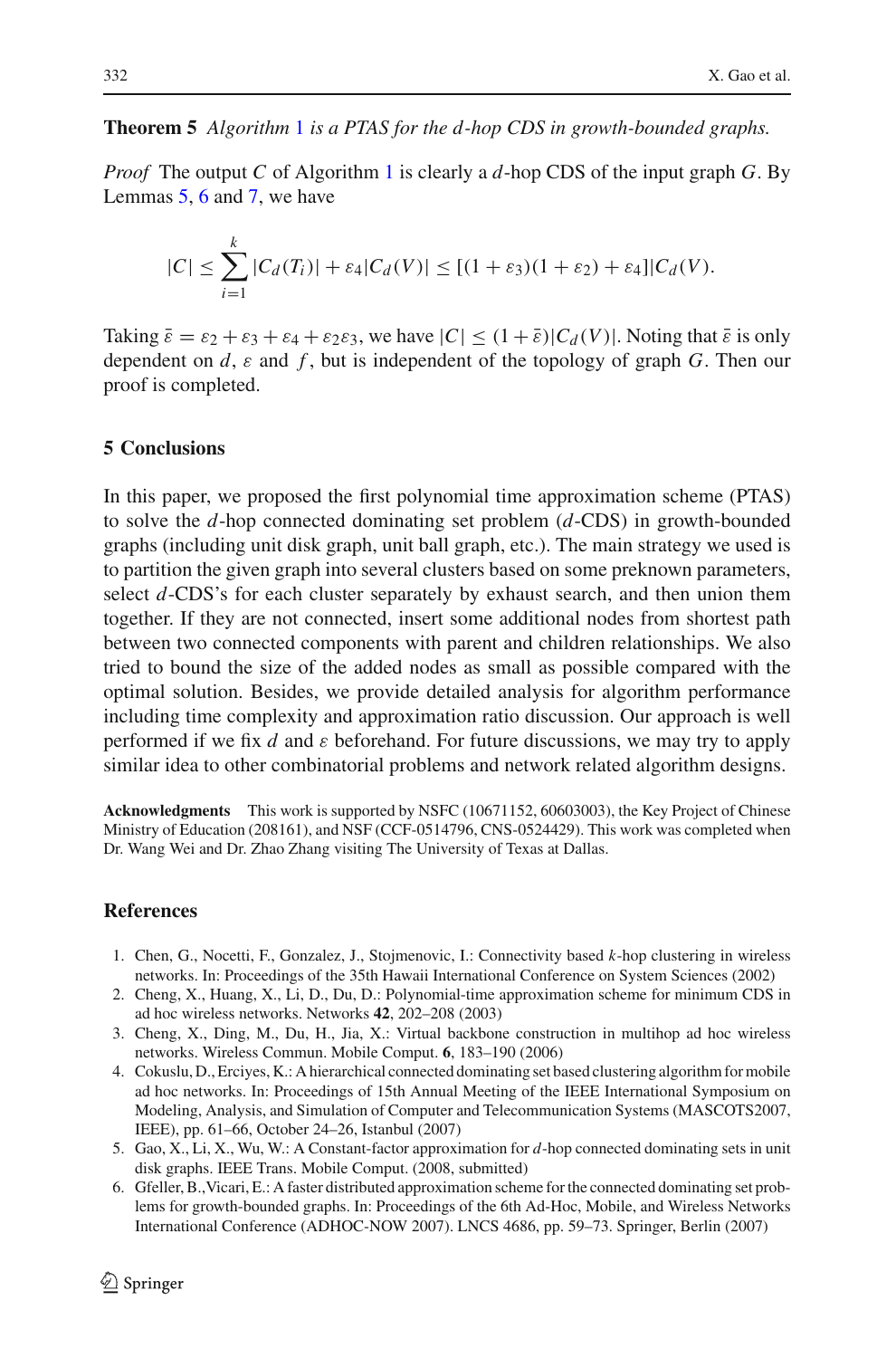## **Theorem 5** *Algorithm* [1](#page-5-0) *is a PTAS for the d-hop CDS in growth-bounded graphs.*

*Proof* The output *C* of Algorithm [1](#page-5-0) is clearly a *d*-hop CDS of the input graph *G*. By Lemmas [5,](#page-9-2) [6](#page-10-2) and [7,](#page-10-3) we have

$$
|C| \leq \sum_{i=1}^{k} |C_d(T_i)| + \varepsilon_4 |C_d(V)| \leq [(1+\varepsilon_3)(1+\varepsilon_2) + \varepsilon_4]|C_d(V).
$$

Taking  $\bar{\varepsilon} = \varepsilon_2 + \varepsilon_3 + \varepsilon_4 + \varepsilon_2 \varepsilon_3$ , we have  $|C| \leq (1 + \bar{\varepsilon}) |C_d(V)|$ . Noting that  $\bar{\varepsilon}$  is only dependent on *d*, ε and *f* , but is independent of the topology of graph *G*. Then our proof is completed.

## <span id="page-11-6"></span>**5 Conclusions**

In this paper, we proposed the first polynomial time approximation scheme (PTAS) to solve the *d*-hop connected dominating set problem (*d*-CDS) in growth-bounded graphs (including unit disk graph, unit ball graph, etc.). The main strategy we used is to partition the given graph into several clusters based on some preknown parameters, select *d*-CDS's for each cluster separately by exhaust search, and then union them together. If they are not connected, insert some additional nodes from shortest path between two connected components with parent and children relationships. We also tried to bound the size of the added nodes as small as possible compared with the optimal solution. Besides, we provide detailed analysis for algorithm performance including time complexity and approximation ratio discussion. Our approach is well performed if we fix *d* and ε beforehand. For future discussions, we may try to apply similar idea to other combinatorial problems and network related algorithm designs.

**Acknowledgments** This work is supported by NSFC (10671152, 60603003), the Key Project of Chinese Ministry of Education (208161), and NSF (CCF-0514796, CNS-0524429). This work was completed when Dr. Wang Wei and Dr. Zhao Zhang visiting The University of Texas at Dallas.

# <span id="page-11-0"></span>**References**

- 1. Chen, G., Nocetti, F., Gonzalez, J., Stojmenovic, I.: Connectivity based *k*-hop clustering in wireless networks. In: Proceedings of the 35th Hawaii International Conference on System Sciences (2002)
- <span id="page-11-4"></span>2. Cheng, X., Huang, X., Li, D., Du, D.: Polynomial-time approximation scheme for minimum CDS in ad hoc wireless networks. Networks **42**, 202–208 (2003)
- <span id="page-11-1"></span>3. Cheng, X., Ding, M., Du, H., Jia, X.: Virtual backbone construction in multihop ad hoc wireless networks. Wireless Commun. Mobile Comput. **6**, 183–190 (2006)
- <span id="page-11-2"></span>4. Cokuslu, D., Erciyes, K.: A hierarchical connected dominating set based clustering algorithm for mobile ad hoc networks. In: Proceedings of 15th Annual Meeting of the IEEE International Symposium on Modeling, Analysis, and Simulation of Computer and Telecommunication Systems (MASCOTS2007, IEEE), pp. 61–66, October 24–26, Istanbul (2007)
- <span id="page-11-3"></span>5. Gao, X., Li, X., Wu, W.: A Constant-factor approximation for *d*-hop connected dominating sets in unit disk graphs. IEEE Trans. Mobile Comput. (2008, submitted)
- <span id="page-11-5"></span>6. Gfeller, B.,Vicari, E.: A faster distributed approximation scheme for the connected dominating set problems for growth-bounded graphs. In: Proceedings of the 6th Ad-Hoc, Mobile, and Wireless Networks International Conference (ADHOC-NOW 2007). LNCS 4686, pp. 59–73. Springer, Berlin (2007)